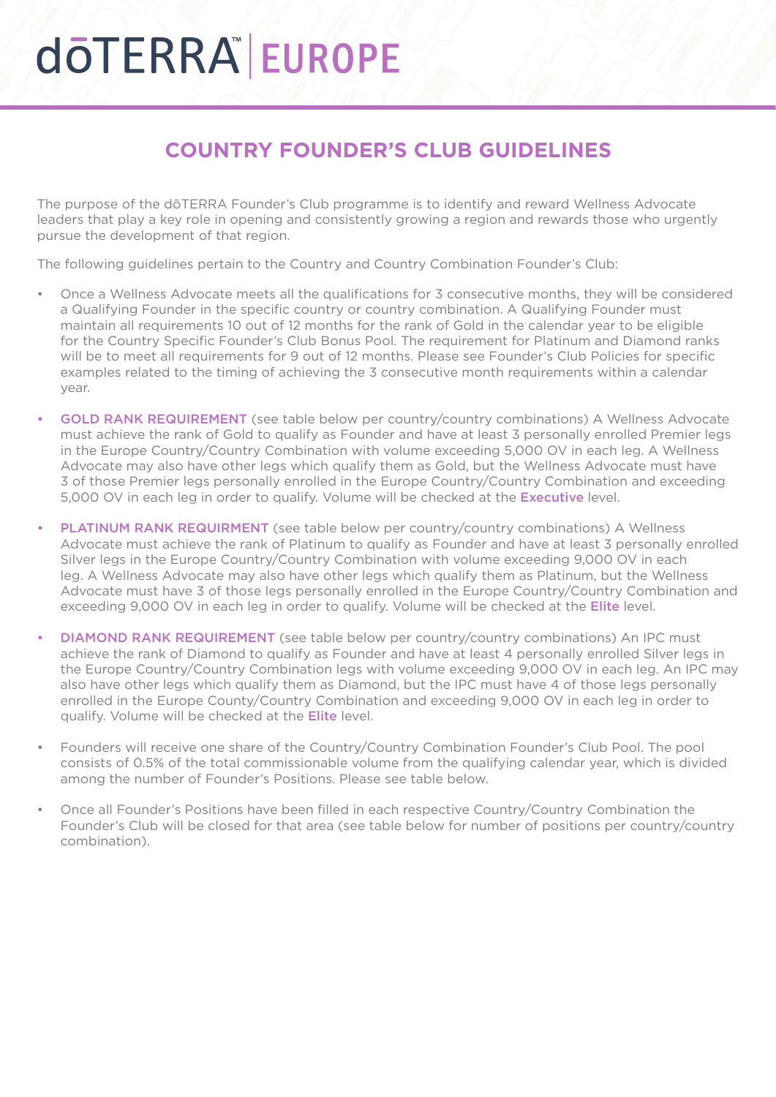## **döTERRA EUROPE**

#### **COUNTRY FOUNDER'S CLUB GUIDELINES**

The purpose of the dōTERRA Founder's Club programme is to identify and reward Wellness Advocate leaders that play a key role in opening and consistently growing a region and rewards those who urgently pursue the development of that region.

The following guidelines pertain to the Country and Country Combination Founder's Club:

- Once a Wellness Advocate meets all the qualifications for 3 consecutive months, they will be considered a Qualifying Founder in the specific country or country combination. A Qualifying Founder must maintain all requirements 10 out of 12 months for the rank of Gold in the calendar year to be eligible for the Country Specific Founder's Club Bonus Pool. The requirement for Platinum and Diamond ranks will be to meet all requirements for 9 out of 12 months. Please see Founder's Club Policies for specific examples related to the timing of achieving the 3 consecutive month requirements within a calendar year.
- GOLD RANK REQUIREMENT (see table below per country/country combinations) A Wellness Advocate must achieve the rank of Gold to qualify as Founder and have at least 3 personally enrolled Premier legs in the Europe Country/Country Combination with volume exceeding 5,000 OV in each leg. A Wellness Advocate may also have other legs which qualify them as Gold, but the Wellness Advocate must have 3 of those Premier legs personally enrolled in the Europe Country/Country Combination and exceeding 5,000 OV in each leg in order to qualify. Volume will be checked at the Executive level.
- PLATINUM RANK REQUIRMENT (see table below per country/country combinations) A Wellness Advocate must achieve the rank of Platinum to qualify as Founder and have at least 3 personally enrolled Silver legs in the Europe Country/Country Combination with volume exceeding 9,000 OV in each leg. A Wellness Advocate may also have other legs which qualify them as Platinum, but the Wellness Advocate must have 3 of those legs personally enrolled in the Europe Country/Country Combination and exceeding 9,000 OV in each leg in order to qualify. Volume will be checked at the Elite level.
- DIAMOND RANK REQUIREMENT (see table below per country/country combinations) An IPC must achieve the rank of Diamond to qualify as Founder and have at least 4 personally enrolled Silver legs in the Europe Country/Country Combination legs with volume exceeding 9,000 OV in each leg. An IPC may also have other legs which qualify them as Diamond, but the IPC must have 4 of those legs personally enrolled in the Europe County/Country Combination and exceeding 9,000 OV in each leg in order to qualify. Volume will be checked at the Elite level.
- Founders will receive one share of the Country/Country Combination Founder's Club Pool. The pool consists of 0.5% of the total commissionable volume from the qualifying calendar year, which is divided among the number of Founder's Positions. Please see table below.
- Once all Founder's Positions have been filled in each respective Country/Country Combination the Founder's Club will be closed for that area (see table below for number of positions per country/country combination).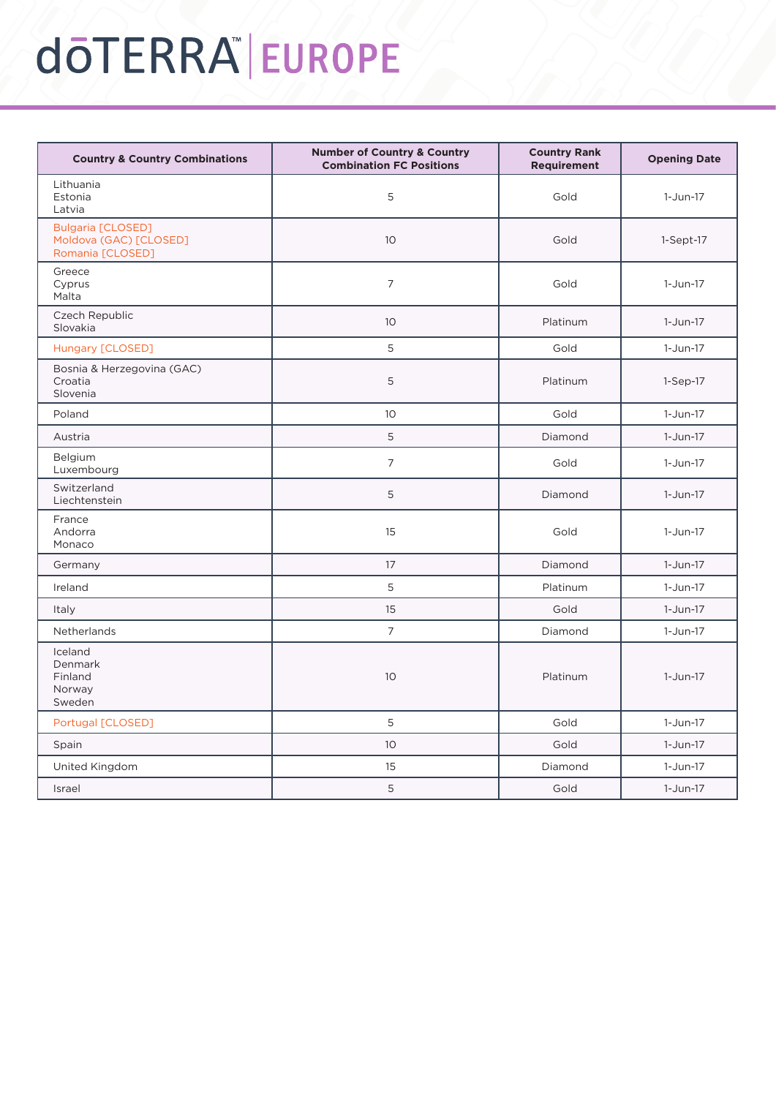# dōTERRA EUROPE

| <b>Country &amp; Country Combinations</b>                              | <b>Number of Country &amp; Country</b><br><b>Combination FC Positions</b> | <b>Country Rank</b><br><b>Requirement</b> | <b>Opening Date</b> |
|------------------------------------------------------------------------|---------------------------------------------------------------------------|-------------------------------------------|---------------------|
| Lithuania<br>Estonia<br>Latvia                                         | 5                                                                         | Gold                                      | $1-Jun-17$          |
| <b>Bulgaria [CLOSED]</b><br>Moldova (GAC) [CLOSED]<br>Romania [CLOSED] | 10 <sup>°</sup>                                                           | Gold                                      | $1-Sept-17$         |
| Greece<br>Cyprus<br>Malta                                              | 7                                                                         | Gold                                      | $1-Jun-17$          |
| Czech Republic<br>Slovakia                                             | 10                                                                        | Platinum                                  | 1-Jun-17            |
| Hungary [CLOSED]                                                       | 5                                                                         | Gold                                      | $1-Jun-17$          |
| Bosnia & Herzegovina (GAC)<br>Croatia<br>Slovenia                      | 5                                                                         | Platinum                                  | $1-Sep-17$          |
| Poland                                                                 | 10 <sup>1</sup>                                                           | Gold                                      | $1-Jun-17$          |
| Austria                                                                | 5                                                                         | Diamond                                   | 1-Jun-17            |
| Belgium<br>Luxembourg                                                  | $\overline{7}$                                                            | Gold                                      | 1-Jun-17            |
| Switzerland<br>Liechtenstein                                           | 5                                                                         | Diamond                                   | $1-Jun-17$          |
| France<br>Andorra<br>Monaco                                            | 15                                                                        | Gold                                      | $1-Jun-17$          |
| Germany                                                                | 17                                                                        | Diamond                                   | $1-Jun-17$          |
| Ireland                                                                | 5                                                                         | Platinum                                  | $1-Jun-17$          |
| <b>Italy</b>                                                           | 15                                                                        | Gold                                      | $1-Jun-17$          |
| <b>Netherlands</b>                                                     | $\overline{7}$                                                            | Diamond                                   | 1-Jun-17            |
| Iceland<br>Denmark<br>Finland<br>Norway<br>Sweden                      | 10                                                                        | Platinum                                  | 1-Jun-17            |
| Portugal [CLOSED]                                                      | 5                                                                         | Gold                                      | $1-Jun-17$          |
| Spain                                                                  | 10 <sup>°</sup>                                                           | Gold                                      | 1-Jun-17            |
| United Kingdom                                                         | 15                                                                        | Diamond                                   | $1-Jun-17$          |
| Israel                                                                 | 5                                                                         | Gold                                      | $1-Jun-17$          |